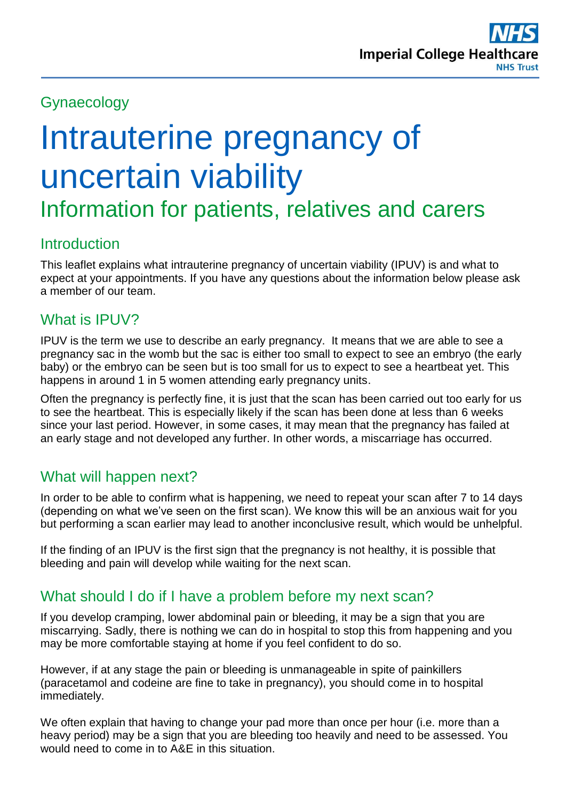# Gynaecology

# Intrauterine pregnancy of uncertain viability

Information for patients, relatives and carers

### **Introduction**

This leaflet explains what intrauterine pregnancy of uncertain viability (IPUV) is and what to expect at your appointments. If you have any questions about the information below please ask a member of our team.

#### What is **IPUV?**

IPUV is the term we use to describe an early pregnancy. It means that we are able to see a pregnancy sac in the womb but the sac is either too small to expect to see an embryo (the early baby) or the embryo can be seen but is too small for us to expect to see a heartbeat yet. This happens in around 1 in 5 women attending early pregnancy units.

Often the pregnancy is perfectly fine, it is just that the scan has been carried out too early for us to see the heartbeat. This is especially likely if the scan has been done at less than 6 weeks since your last period. However, in some cases, it may mean that the pregnancy has failed at an early stage and not developed any further. In other words, a miscarriage has occurred.

### What will happen next?

In order to be able to confirm what is happening, we need to repeat your scan after 7 to 14 days (depending on what we've seen on the first scan). We know this will be an anxious wait for you but performing a scan earlier may lead to another inconclusive result, which would be unhelpful.

If the finding of an IPUV is the first sign that the pregnancy is not healthy, it is possible that bleeding and pain will develop while waiting for the next scan.

### What should I do if I have a problem before my next scan?

If you develop cramping, lower abdominal pain or bleeding, it may be a sign that you are miscarrying. Sadly, there is nothing we can do in hospital to stop this from happening and you may be more comfortable staying at home if you feel confident to do so.

However, if at any stage the pain or bleeding is unmanageable in spite of painkillers (paracetamol and codeine are fine to take in pregnancy), you should come in to hospital immediately.

We often explain that having to change your pad more than once per hour (i.e. more than a heavy period) may be a sign that you are bleeding too heavily and need to be assessed. You would need to come in to A&E in this situation.